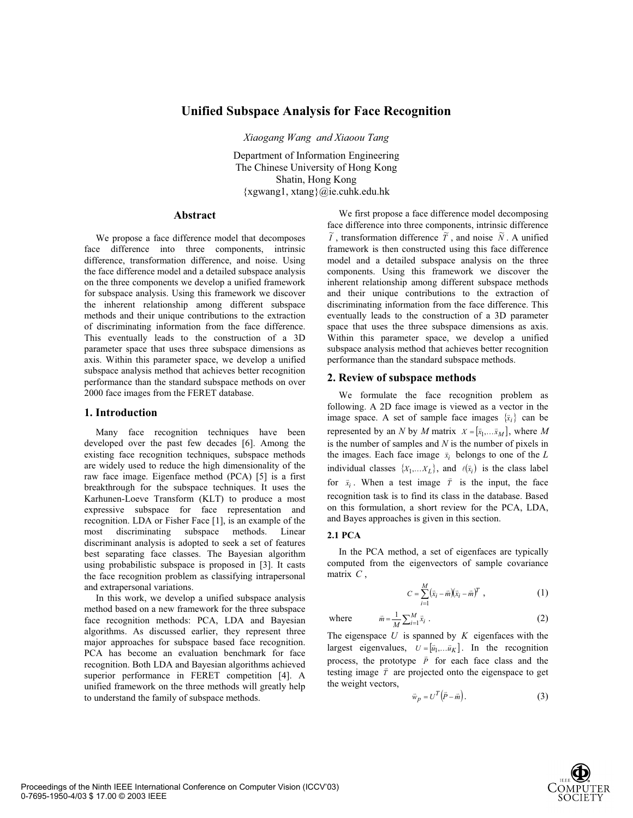# **Unified Subspace Analysis for Face Recognition**

*Xiaogang Wang and Xiaoou Tang* 

Department of Information Engineering The Chinese University of Hong Kong Shatin, Hong Kong {xgwang1, xtang}@ie.cuhk.edu.hk

### **Abstract**

We propose a face difference model that decomposes face difference into three components, intrinsic difference, transformation difference, and noise. Using the face difference model and a detailed subspace analysis on the three components we develop a unified framework for subspace analysis. Using this framework we discover the inherent relationship among different subspace methods and their unique contributions to the extraction of discriminating information from the face difference. This eventually leads to the construction of a 3D parameter space that uses three subspace dimensions as axis. Within this parameter space, we develop a unified subspace analysis method that achieves better recognition performance than the standard subspace methods on over 2000 face images from the FERET database.

### **1. Introduction**

Many face recognition techniques have been developed over the past few decades [6]. Among the existing face recognition techniques, subspace methods are widely used to reduce the high dimensionality of the raw face image. Eigenface method (PCA) [5] is a first breakthrough for the subspace techniques. It uses the Karhunen-Loeve Transform (KLT) to produce a most expressive subspace for face representation and recognition. LDA or Fisher Face [1], is an example of the most discriminating subspace methods. Linear discriminant analysis is adopted to seek a set of features best separating face classes. The Bayesian algorithm using probabilistic subspace is proposed in [3]. It casts the face recognition problem as classifying intrapersonal and extrapersonal variations.

In this work, we develop a unified subspace analysis method based on a new framework for the three subspace face recognition methods: PCA, LDA and Bayesian algorithms. As discussed earlier, they represent three major approaches for subspace based face recognition. PCA has become an evaluation benchmark for face recognition. Both LDA and Bayesian algorithms achieved superior performance in FERET competition [4]. A unified framework on the three methods will greatly help to understand the family of subspace methods.

We first propose a face difference model decomposing face difference into three components, intrinsic difference  $\widetilde{I}$ , transformation difference  $\widetilde{T}$ , and noise  $\widetilde{N}$ . A unified framework is then constructed using this face difference model and a detailed subspace analysis on the three components. Using this framework we discover the inherent relationship among different subspace methods and their unique contributions to the extraction of discriminating information from the face difference. This eventually leads to the construction of a 3D parameter space that uses the three subspace dimensions as axis. Within this parameter space, we develop a unified subspace analysis method that achieves better recognition performance than the standard subspace methods.

### **2. Review of subspace methods**

We formulate the face recognition problem as following. A 2D face image is viewed as a vector in the image space. A set of sample face images  $\{\bar{x}_i\}$  can be represented by an *N* by *M* matrix  $X = [\bar{x}_1, \dots, \bar{x}_M]$ , where *M* is the number of samples and *N* is the number of pixels in the images. Each face image  $\bar{x}_i$  belongs to one of the *L* individual classes  $\{X_1,...X_L\}$ , and  $\ell(\bar{x}_i)$  is the class label for  $\bar{x}_i$ . When a test image  $\bar{T}$  is the input, the face recognition task is to find its class in the database. Based on this formulation, a short review for the PCA, LDA, and Bayes approaches is given in this section.

### **2.1 PCA**

In the PCA method, a set of eigenfaces are typically computed from the eigenvectors of sample covariance matrix *C* ,

$$
C = \sum_{i=1}^{M} (\bar{x}_i - \bar{m})(\bar{x}_i - \bar{m})^T , \qquad (1)
$$

where 
$$
\bar{m} = \frac{1}{M} \sum_{i=1}^{M} \bar{x}_i
$$
 (2)

The eigenspace  $U$  is spanned by  $K$  eigenfaces with the largest eigenvalues,  $U = [\bar{u}_1, \dots \bar{u}_K]$ . In the recognition process, the prototype  $\overrightarrow{P}$  for each face class and the testing image  $\bar{T}$  are projected onto the eigenspace to get the weight vectors,

$$
\bar{w}_p = U^T (\bar{P} - \bar{m}). \tag{3}
$$

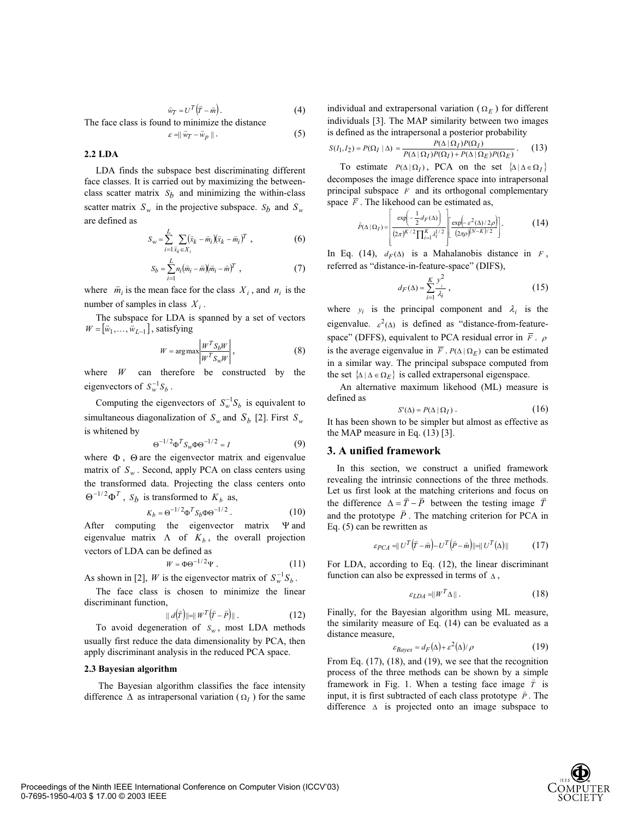$$
\vec{w}_T = U^T \left( \vec{T} - \vec{m} \right). \tag{4}
$$

The face class is found to minimize the distance

$$
\varepsilon = \parallel \vec{w}_T - \vec{w}_p \parallel. \tag{5}
$$

# **2.2 LDA**

LDA finds the subspace best discriminating different face classes. It is carried out by maximizing the betweenclass scatter matrix  $S_b$  and minimizing the within-class scatter matrix  $S_w$  in the projective subspace.  $S_b$  and  $S_w$ are defined as

$$
S_w = \sum_{i=1}^{L} \sum_{\bar{x}_k \in X_i} (\bar{x}_k - \bar{m}_i)(\bar{x}_k - \bar{m}_i)^T , \qquad (6)
$$

$$
S_b = \sum_{i=1}^{L} n_i (\bar{m}_i - \bar{m})(\bar{m}_i - \bar{m})^T , \qquad (7)
$$

where  $\vec{m}_i$  is the mean face for the class  $X_i$ , and  $n_i$  is the number of samples in class  $X_i$ .

The subspace for LDA is spanned by a set of vectors  $W = [\vec{w}_1, \dots, \vec{w}_{L-1}]$ , satisfying

$$
W = \arg \max \left| \frac{W^T S_b W}{W^T S_w W} \right|, \tag{8}
$$

where *W* can therefore be constructed by the eigenvectors of  $S_w^{-1}S_h$ .

Computing the eigenvectors of  $S_w^{-1}S_b$  is equivalent to simultaneous diagonalization of  $S_w$  and  $S_b$  [2]. First  $S_w$ is whitened by

$$
\Theta^{-1/2} \Phi^T S_w \Phi \Theta^{-1/2} = I \tag{9}
$$

where  $\Phi$ ,  $\Theta$  are the eigenvector matrix and eigenvalue matrix of  $S_w$ . Second, apply PCA on class centers using the transformed data. Projecting the class centers onto  $\Theta^{-1/2} \Phi^T$ , *S<sub>b</sub>* is transformed to  $K_b$  as,

$$
K_b = \Theta^{-1/2} \Phi^T S_b \Phi \Theta^{-1/2} . \tag{10}
$$

After computing the eigenvector matrix  $\Psi$  and eigenvalue matrix  $\Lambda$  of  $K_b$ , the overall projection vectors of LDA can be defined as

$$
W = \Phi \Theta^{-1/2} \Psi . \tag{11}
$$

As shown in [2], *W* is the eigenvector matrix of  $S_w^{-1}S_h$ .

The face class is chosen to minimize the linear discriminant function,

$$
|| d(\bar{r}) ||=|| W^T (\bar{r} - \bar{P}) ||.
$$
 (12)

To avoid degeneration of  $S_w$ , most LDA methods usually first reduce the data dimensionality by PCA, then apply discriminant analysis in the reduced PCA space.

#### **2.3 Bayesian algorithm**

 The Bayesian algorithm classifies the face intensity difference  $\Delta$  as intrapersonal variation ( $\Omega$ <sub>*I*</sub>) for the same individual and extrapersonal variation  $(\Omega_E)$  for different individuals [3]. The MAP similarity between two images is defined as the intrapersonal a posterior probability

$$
S(I_1, I_2) = P(\Omega_I \mid \Delta) = \frac{P(\Delta \mid \Omega_I) P(\Omega_I)}{P(\Delta \mid \Omega_I) P(\Omega_I) + P(\Delta \mid \Omega_E) P(\Omega_E)}.
$$
(13)

To estimate  $P(\Delta | \Omega_I)$ , PCA on the set  $\{\Delta | \Delta \in \Omega_I\}$ decomposes the image difference space into intrapersonal principal subspace *F* and its orthogonal complementary space  $\overline{F}$ . The likehood can be estimated as,

$$
\hat{P}(\Delta | \Omega_I) = \left[ \frac{\exp\left(-\frac{1}{2}d_F(\Delta)\right)}{(2\pi)^{K/2}\prod_{i=1}^K \lambda_i^{1/2}} \left[ \frac{\exp\left(-\varepsilon^2(\Delta)/2\rho\right)}{(2\pi\rho)^{(N-K)/2}} \right] \right].
$$
 (14)

In Eq. (14),  $d_F(\Delta)$  is a Mahalanobis distance in *F*, referred as "distance-in-feature-space" (DIFS),

$$
d_F(\Delta) = \sum_{i=1}^{K} \frac{y_i^2}{\lambda_i},\tag{15}
$$

where  $y_i$  is the principal component and  $\lambda_i$  is the eigenvalue.  $\varepsilon^2(\Delta)$  is defined as "distance-from-featurespace" (DFFS), equivalent to PCA residual error in  $\overline{F}$ .  $\rho$ is the average eigenvalue in  $\overline{F}$ .  $P(\Delta | \Omega_E)$  can be estimated in a similar way. The principal subspace computed from the set  $\{\Delta \mid \Delta \in \Omega_E\}$  is called extrapersonal eigenspace.

An alternative maximum likehood (ML) measure is defined as

$$
S'(\Delta) = P(\Delta \mid \Omega_I). \tag{16}
$$

It has been shown to be simpler but almost as effective as the MAP measure in Eq. (13) [3].

### **3. A unified framework**

In this section, we construct a unified framework revealing the intrinsic connections of the three methods. Let us first look at the matching criterions and focus on the difference  $\Delta = \vec{T} - \vec{P}$  between the testing image  $\vec{T}$ and the prototype *P* . The matching criterion for PCA in \* Eq. (5) can be rewritten as

$$
\varepsilon_{PCA} = ||U^T(\bar{r} - \bar{m}) - U^T(\bar{P} - \bar{m})|| = ||U^T(\Delta)|| \qquad (17)
$$

For LDA, according to Eq. (12), the linear discriminant function can also be expressed in terms of  $\Delta$ ,

$$
\varepsilon_{LDA} = \|W^T \Delta\| \,. \tag{18}
$$

Finally, for the Bayesian algorithm using ML measure, the similarity measure of Eq. (14) can be evaluated as a distance measure,

$$
\varepsilon_{Bayes} = d_F(\Delta) + \varepsilon^2(\Delta)/\rho \tag{19}
$$

From Eq. (17), (18), and (19), we see that the recognition process of the three methods can be shown by a simple framework in Fig. 1. When a testing face image  $\bar{T}$  is input, it is first subtracted of each class prototype  $\vec{P}$ . The difference  $\Delta$  is projected onto an image subspace to

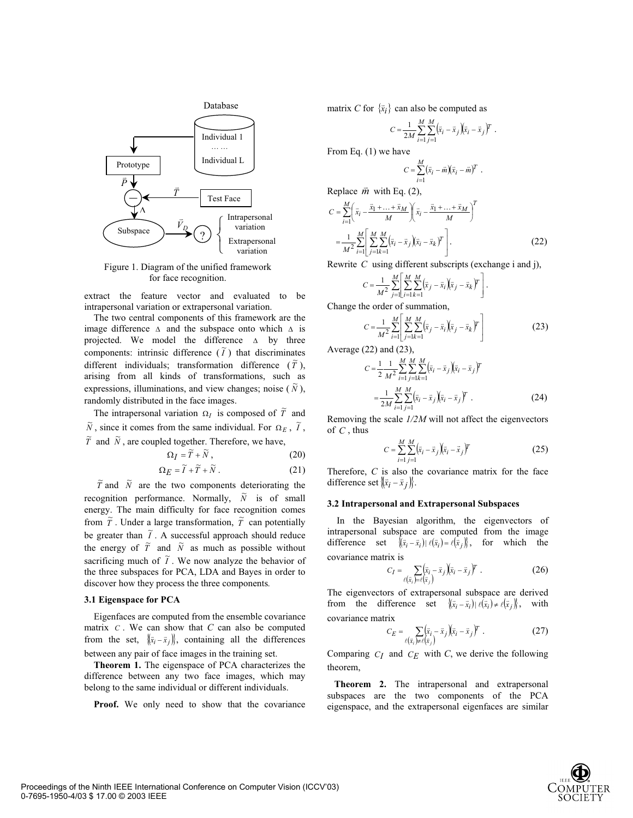

Figure 1. Diagram of the unified framework for face recognition.

extract the feature vector and evaluated to be intrapersonal variation or extrapersonal variation.

The two central components of this framework are the image difference  $\Delta$  and the subspace onto which  $\Delta$  is projected. We model the difference  $\Delta$  by three components: intrinsic difference  $(\tilde{I})$  that discriminates different individuals; transformation difference  $(\tilde{T})$ , arising from all kinds of transformations, such as expressions, illuminations, and view changes; noise  $(\tilde{N})$ , randomly distributed in the face images.

The intrapersonal variation  $\Omega_I$  is composed of  $\tilde{T}$  and  $\widetilde{N}$ , since it comes from the same individual. For  $\Omega_E$ ,  $\widetilde{I}$ ,  $\tilde{T}$  and  $\tilde{N}$ , are coupled together. Therefore, we have,

$$
\Omega_I = \widetilde{T} + \widetilde{N}, \qquad (20)
$$

$$
\Omega_E = \widetilde{I} + \widetilde{T} + \widetilde{N} \,. \tag{21}
$$

 $\tilde{T}$  and  $\tilde{N}$  are the two components deteriorating the recognition performance. Normally,  $\tilde{N}$  is of small energy. The main difficulty for face recognition comes from  $\tilde{T}$ . Under a large transformation,  $\tilde{T}$  can potentially be greater than  $\tilde{I}$ . A successful approach should reduce the energy of  $\tilde{T}$  and  $\tilde{N}$  as much as possible without sacrificing much of  $\tilde{I}$ . We now analyze the behavior of the three subspaces for PCA, LDA and Bayes in order to discover how they process the three components*.*

#### **3.1 Eigenspace for PCA**

Eigenfaces are computed from the ensemble covariance matrix *C* . We can show that *C* can also be computed from the set,  $\{\bar{x}_i - \bar{x}_j\}$ , containing all the differences between any pair of face images in the training set.

**Theorem 1.** The eigenspace of PCA characterizes the difference between any two face images, which may belong to the same individual or different individuals.

Proof. We only need to show that the covariance

matrix *C* for  $\{\bar{x}_i\}$  can also be computed as

$$
C = \frac{1}{2M} \sum_{i=1}^{M} \sum_{j=1}^{M} (\bar{x}_i - \bar{x}_j)(\bar{x}_i - \bar{x}_j)^T.
$$

From Eq. (1) we have

$$
C = \sum_{i=1}^M (\bar{x}_i - \bar{m})(\bar{x}_i - \bar{m})^T.
$$

Replace  $\vec{m}$  with Eq. (2),

$$
C = \sum_{i=1}^{M} \left( \bar{x}_i - \frac{\bar{x}_1 + \dots + \bar{x}_M}{M} \right) \left( \bar{x}_i - \frac{\bar{x}_1 + \dots + \bar{x}_M}{M} \right)^T
$$
  
= 
$$
\frac{1}{M^2} \sum_{i=1}^{M} \left[ \sum_{j=1}^{M} \sum_{k=1}^{M} (\bar{x}_i - \bar{x}_j) (\bar{x}_i - \bar{x}_k)^T \right].
$$
 (22)

Rewrite *C* using different subscripts (exchange i and j),

$$
C = \frac{1}{M^2} \sum_{j=1}^{M} \left[ \sum_{i=1}^{M} \sum_{k=1}^{M} (\bar{x}_j - \bar{x}_i)(\bar{x}_j - \bar{x}_k)^T \right].
$$

Change the order of summation,

$$
C = \frac{1}{M^2} \sum_{i=1}^{M} \left[ \sum_{j=1}^{M} \sum_{k=1}^{M} (\bar{x}_j - \bar{x}_i)(\bar{x}_j - \bar{x}_k)^T \right]
$$
(23)

Average (22) and (23),

$$
C = \frac{1}{2} \frac{1}{M^2} \sum_{i=1}^{M} \sum_{j=1}^{M} \sum_{k=1}^{M} (\bar{x}_i - \bar{x}_j)(\bar{x}_i - \bar{x}_j)^T
$$
  
= 
$$
\frac{1}{2M} \sum_{i=1}^{M} \sum_{j=1}^{M} (\bar{x}_i - \bar{x}_j)(\bar{x}_i - \bar{x}_j)^T.
$$
 (24)

Removing the scale *1/2M* will not affect the eigenvectors of *C* , thus

$$
C = \sum_{i=1}^{M} \sum_{j=1}^{M} (\bar{x}_i - \bar{x}_j)(\bar{x}_i - \bar{x}_j)^T
$$
 (25)

Therefore, *C* is also the covariance matrix for the face difference set  $\langle \langle \vec{x_i} - \vec{x_j} \rangle \rangle$ .

#### **3.2 Intrapersonal and Extrapersonal Subspaces**

In the Bayesian algorithm, the eigenvectors of intrapersonal subspace are computed from the image difference set  $\langle (\bar{x}_i - \bar{x}_i) | \ell (\bar{x}_i) = \ell (\bar{x}_i) \rangle$ , for which the covariance matrix is

$$
C_I = \sum_{\ell(\bar{x}_i) = \ell(\bar{x}_j)} \left(\bar{x}_i - \bar{x}_j\right) (\bar{x}_i - \bar{x}_j)^T \tag{26}
$$

The eigenvectors of extrapersonal subspace are derived from the difference set  $\langle (\bar{x}_i - \bar{x}_i) | \ell (\bar{x}_i) \neq \ell (\bar{x}_j) \rangle$ , with covariance matrix

$$
C_E = \sum_{\ell(\bar{x}_i) \neq \ell(\bar{x}_j)} \left(\bar{x}_i - \bar{x}_j\right) \left(\bar{x}_i - \bar{x}_j\right)^T \,. \tag{27}
$$

Comparing  $C_I$  and  $C_E$  with  $C$ , we derive the following theorem,

 **Theorem 2.** The intrapersonal and extrapersonal subspaces are the two components of the PCA eigenspace, and the extrapersonal eigenfaces are similar

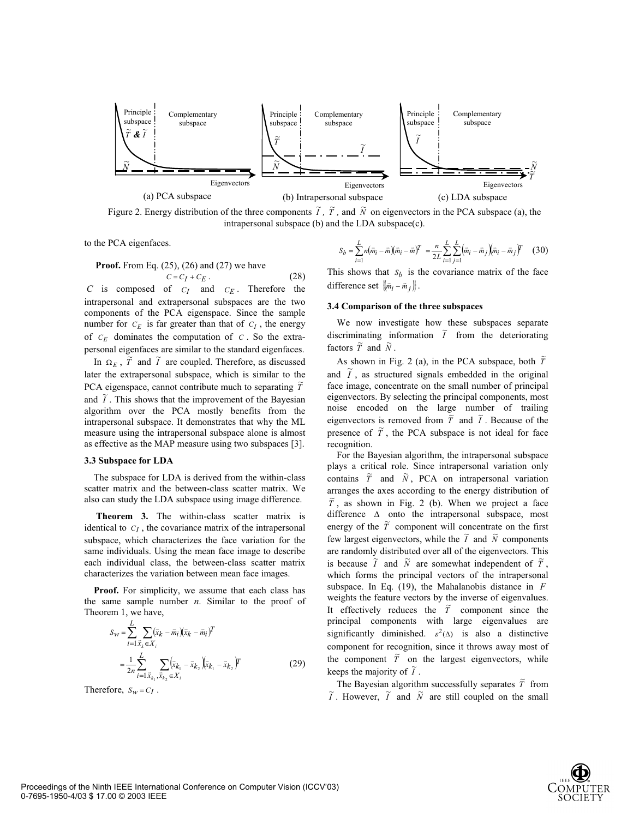

Figure 2. Energy distribution of the three components  $\tilde{I}$ ,  $\tilde{T}$ , and  $\tilde{N}$  on eigenvectors in the PCA subspace (a), the intrapersonal subspace (b) and the LDA subspace(c).

to the PCA eigenfaces.

**Proof.** From Eq. (25), (26) and (27) we have

 $C = C_I + C_E$ . (28) *C* is composed of *CI* and *CE* . Therefore the intrapersonal and extrapersonal subspaces are the two components of the PCA eigenspace. Since the sample number for  $C_E$  is far greater than that of  $C_I$ , the energy of  $C_E$  dominates the computation of  $C_E$ . So the extrapersonal eigenfaces are similar to the standard eigenfaces.

In  $\Omega_E$ ,  $\tilde{T}$  and  $\tilde{I}$  are coupled. Therefore, as discussed later the extrapersonal subspace, which is similar to the PCA eigenspace, cannot contribute much to separating  $\tilde{T}$ and  $\tilde{l}$ . This shows that the improvement of the Bayesian algorithm over the PCA mostly benefits from the intrapersonal subspace. It demonstrates that why the ML measure using the intrapersonal subspace alone is almost as effective as the MAP measure using two subspaces [3].

#### **3.3 Subspace for LDA**

The subspace for LDA is derived from the within-class scatter matrix and the between-class scatter matrix. We also can study the LDA subspace using image difference.

 **Theorem 3.** The within-class scatter matrix is identical to  $C_I$ , the covariance matrix of the intrapersonal subspace, which characterizes the face variation for the same individuals. Using the mean face image to describe each individual class, the between-class scatter matrix characterizes the variation between mean face images.

**Proof.** For simplicity, we assume that each class has the same sample number *n*. Similar to the proof of Theorem 1, we have,

$$
S_W = \sum_{i=1}^{L} \sum_{\bar{x}_k \in X_i} (\bar{x}_k - \bar{m}_i)(\bar{x}_k - \bar{m}_i)^T
$$
  
= 
$$
\frac{1}{2n} \sum_{i=1}^{L} \sum_{\bar{x}_{k_1}, \bar{x}_{k_2} \in X_i} (\bar{x}_{k_1} - \bar{x}_{k_2})(\bar{x}_{k_1} - \bar{x}_{k_2})^T
$$
(29)

Therefore,  $S_w = C_I$ .

$$
S_b = \sum_{i=1}^L n(\bar{m}_i - \bar{m})(\bar{m}_i - \bar{m})^T = \frac{n}{2L} \sum_{i=1}^L \sum_{j=1}^L (\bar{m}_i - \bar{m}_j)(\bar{m}_i - \bar{m}_j)^T
$$
 (30)

This shows that  $S_b$  is the covariance matrix of the face difference set  $\{\bar{m}_i - \bar{m}_i\}$ .

#### **3.4 Comparison of the three subspaces**

We now investigate how these subspaces separate discriminating information  $\tilde{I}$  from the deteriorating factors  $\tilde{T}$  and  $\tilde{N}$ .

As shown in Fig. 2 (a), in the PCA subspace, both  $\tilde{T}$ and  $\tilde{I}$ , as structured signals embedded in the original face image, concentrate on the small number of principal eigenvectors. By selecting the principal components, most noise encoded on the large number of trailing eigenvectors is removed from  $\tilde{\tilde{T}}$  and  $\tilde{I}$ . Because of the presence of  $\tilde{T}$ , the PCA subspace is not ideal for face recognition.

For the Bayesian algorithm, the intrapersonal subspace plays a critical role. Since intrapersonal variation only contains  $\tilde{T}$  and  $\tilde{N}$ , PCA on intrapersonal variation arranges the axes according to the energy distribution of  $\tilde{T}$ , as shown in Fig. 2 (b). When we project a face difference  $\Delta$  onto the intrapersonal subspace, most energy of the  $\tilde{T}$  component will concentrate on the first few largest eigenvectors, while the  $\tilde{I}$  and  $\tilde{N}$  components are randomly distributed over all of the eigenvectors. This is because  $\tilde{I}$  and  $\tilde{N}$  are somewhat independent of  $\tilde{T}$ , which forms the principal vectors of the intrapersonal subspace. In Eq. (19), the Mahalanobis distance in *F* weights the feature vectors by the inverse of eigenvalues. It effectively reduces the  $\tilde{r}$  component since the principal components with large eigenvalues are significantly diminished.  $\varepsilon^2(\Delta)$  is also a distinctive component for recognition, since it throws away most of the component  $\tilde{T}$  on the largest eigenvectors, while keeps the majority of  $\tilde{I}$ .

The Bayesian algorithm successfully separates  $\tilde{T}$  from  $\widetilde{I}$ . However,  $\widetilde{I}$  and  $\widetilde{N}$  are still coupled on the small

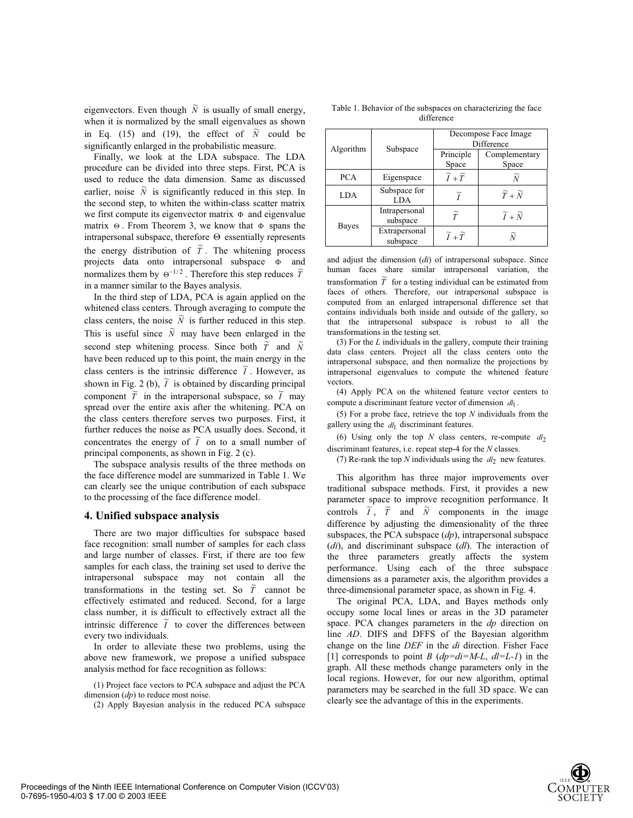eigenvectors. Even though  $\tilde{N}$  is usually of small energy, when it is normalized by the small eigenvalues as shown in Eq. (15) and (19), the effect of  $\tilde{N}$  could be significantly enlarged in the probabilistic measure.

Finally, we look at the LDA subspace. The LDA procedure can be divided into three steps. First, PCA is used to reduce the data dimension. Same as discussed earlier, noise  $\tilde{N}$  is significantly reduced in this step. In the second step, to whiten the within-class scatter matrix we first compute its eigenvector matrix  $\Phi$  and eigenvalue matrix  $\Theta$ . From Theorem 3, we know that  $\Phi$  spans the intrapersonal subspace, therefore  $\Theta$  essentially represents the energy distribution of  $\tilde{T}$ . The whitening process projects data onto intrapersonal subspace  $\Phi$  and normalizes them by  $\Theta^{-1/2}$ . Therefore this step reduces  $\tilde{T}$ in a manner similar to the Bayes analysis.

In the third step of LDA, PCA is again applied on the whitened class centers. Through averaging to compute the class centers, the noise  $\tilde{N}$  is further reduced in this step. This is useful since  $\tilde{N}$  may have been enlarged in the second step whitening process. Since both  $\tilde{\tilde{T}}$  and  $\tilde{N}$ have been reduced up to this point, the main energy in the class centers is the intrinsic difference  $\tilde{I}$ . However, as shown in Fig. 2 (b),  $\tilde{I}$  is obtained by discarding principal component  $\tilde{\tilde{T}}$  in the intrapersonal subspace, so  $\tilde{I}$  may spread over the entire axis after the whitening. PCA on the class centers therefore serves two purposes. First, it further reduces the noise as PCA usually does. Second, it concentrates the energy of  $\tilde{I}$  on to a small number of principal components, as shown in Fig. 2 (c).

The subspace analysis results of the three methods on the face difference model are summarized in Table 1. We can clearly see the unique contribution of each subspace to the processing of the face difference model.

### **4. Unified subspace analysis**

There are two major difficulties for subspace based face recognition: small number of samples for each class and large number of classes. First, if there are too few samples for each class, the training set used to derive the intrapersonal subspace may not contain all the transformations in the testing set. So  $\tilde{T}$  cannot be effectively estimated and reduced. Second, for a large class number, it is difficult to effectively extract all the intrinsic difference  $\tilde{I}$  to cover the differences between every two individuals.

In order to alleviate these two problems, using the above new framework, we propose a unified subspace analysis method for face recognition as follows:

(1) Project face vectors to PCA subspace and adjust the PCA dimension (*dp*) to reduce most noise.

(2) Apply Bayesian analysis in the reduced PCA subspace

difference Decompose Face Image Algorithm Subspace Principle Space Complementary Space PCA | Eigenspace  $\widetilde{I}+\widetilde{T}$  $\widetilde{N}$ 

 $\widetilde{I}$   $\widetilde{T} + \widetilde{N}$ 

 $LDA$   $\tilde{I}$ 

LDA Subspace for

Intrapersonal

Table 1. Behavior of the subspaces on characterizing the face

| Bayes                                                                                                                             | Intrapersonal<br>subspace |                               | $\widetilde{I}+\widetilde{N}$                                                                                                                                                                         |  |  |  |  |  |
|-----------------------------------------------------------------------------------------------------------------------------------|---------------------------|-------------------------------|-------------------------------------------------------------------------------------------------------------------------------------------------------------------------------------------------------|--|--|--|--|--|
|                                                                                                                                   | Extrapersonal<br>subspace | $\widetilde{I}+\widetilde{T}$ |                                                                                                                                                                                                       |  |  |  |  |  |
| and adjust the dimension ( <i>di</i> ) of intrapersonal subspace. Since<br>human faces share similar intrapersonal variation, the |                           |                               |                                                                                                                                                                                                       |  |  |  |  |  |
|                                                                                                                                   |                           |                               | transformation $\tilde{T}$ for a testing individual can be estimated from<br>faces of others. Therefore, our intrapersonal subspace is<br>computed from an enlarged intrapersonal difference set that |  |  |  |  |  |

 $\widetilde{T}$  for a testing individual can be estimated from contains individuals both inside and outside of the gallery, so that the intrapersonal subspace is robust to all the transformations in the testing set.

(3) For the *L* individuals in the gallery, compute their training data class centers. Project all the class centers onto the intrapersonal subspace, and then normalize the projections by intrapersonal eigenvalues to compute the whitened feature vectors.

(4) Apply PCA on the whitened feature vector centers to compute a discriminant feature vector of dimension  $dl_1$ .

(5) For a probe face, retrieve the top *N* individuals from the gallery using the  $dl_1$  discriminant features.

(6) Using only the top  $N$  class centers, re-compute  $dl_2$ discriminant features, i.e. repeat step-4 for the *N* classes.

(7) Re-rank the top  $N$  individuals using the  $dl_2$  new features.

This algorithm has three major improvements over traditional subspace methods. First, it provides a new parameter space to improve recognition performance. It controls  $\tilde{I}$ ,  $\tilde{T}$  and  $\tilde{N}$  components in the image difference by adjusting the dimensionality of the three subspaces, the PCA subspace (*dp*), intrapersonal subspace (*di*), and discriminant subspace (*dl*). The interaction of the three parameters greatly affects the system performance. Using each of the three subspace dimensions as a parameter axis, the algorithm provides a three-dimensional parameter space, as shown in Fig. 4.

The original PCA, LDA, and Bayes methods only occupy some local lines or areas in the 3D parameter space. PCA changes parameters in the *dp* direction on line *AD*. DIFS and DFFS of the Bayesian algorithm change on the line *DEF* in the *di* direction. Fisher Face [1] corresponds to point *B* (*dp=di=M-L*, *dl=L-1*) in the graph. All these methods change parameters only in the local regions. However, for our new algorithm, optimal parameters may be searched in the full 3D space. We can clearly see the advantage of this in the experiments.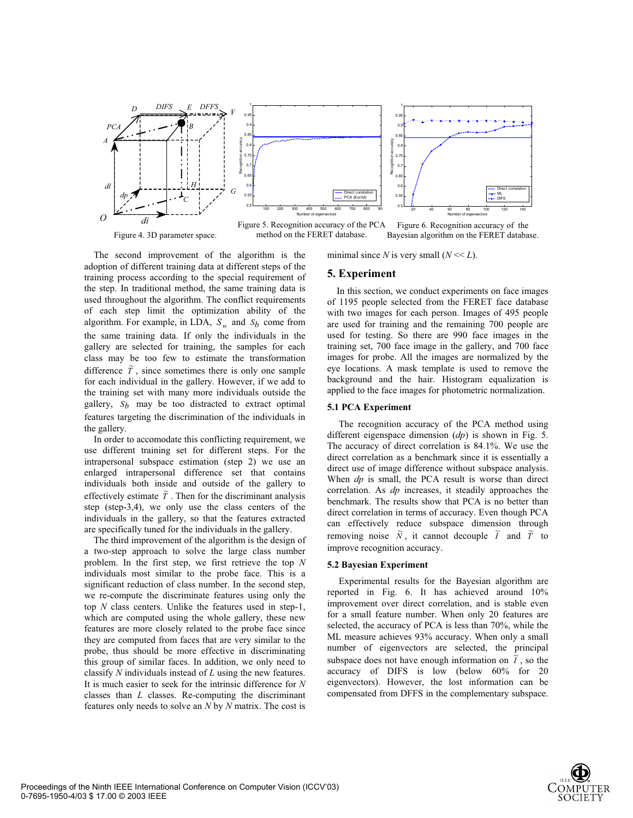

method on the FERET database.

Figure 4. 3D parameter space. The method on the FERET database. Bayesian algorithm on the FERET database.

minimal since *N* is very small  $(N \ll L)$ .

The second improvement of the algorithm is the adoption of different training data at different steps of the training process according to the special requirement of the step. In traditional method, the same training data is used throughout the algorithm. The conflict requirements of each step limit the optimization ability of the algorithm. For example, in LDA,  $S_w$  and  $S_b$  come from the same training data. If only the individuals in the gallery are selected for training, the samples for each class may be too few to estimate the transformation difference  $\tilde{T}$ , since sometimes there is only one sample for each individual in the gallery. However, if we add to the training set with many more individuals outside the gallery,  $S_h$  may be too distracted to extract optimal features targeting the discrimination of the individuals in the gallery.

## In order to accomodate this conflicting requirement, we use different training set for different steps. For the intrapersonal subspace estimation (step 2) we use an enlarged intrapersonal difference set that contains individuals both inside and outside of the gallery to effectively estimate  $\tilde{T}$ . Then for the discriminant analysis step (step-3,4), we only use the class centers of the individuals in the gallery, so that the features extracted are specifically tuned for the individuals in the gallery.

The third improvement of the algorithm is the design of a two-step approach to solve the large class number problem. In the first step, we first retrieve the top *N* individuals most similar to the probe face. This is a significant reduction of class number. In the second step, we re-compute the discriminate features using only the top *N* class centers. Unlike the features used in step-1, which are computed using the whole gallery, these new features are more closely related to the probe face since they are computed from faces that are very similar to the probe, thus should be more effective in discriminating this group of similar faces. In addition, we only need to classify *N* individuals instead of *L* using the new features. It is much easier to seek for the intrinsic difference for *N* classes than *L* classes. Re-computing the discriminant features only needs to solve an *N* by *N* matrix. The cost is

### **5. Experiment**

 In this section, we conduct experiments on face images of 1195 people selected from the FERET face database with two images for each person. Images of 495 people are used for training and the remaining 700 people are used for testing. So there are 990 face images in the training set, 700 face image in the gallery, and 700 face images for probe. All the images are normalized by the eye locations. A mask template is used to remove the background and the hair. Histogram equalization is applied to the face images for photometric normalization.

## **5.1 PCA Experiment**

The recognition accuracy of the PCA method using different eigenspace dimension (*dp*) is shown in Fig. 5. The accuracy of direct correlation is 84.1%. We use the direct correlation as a benchmark since it is essentially a direct use of image difference without subspace analysis. When *dp* is small, the PCA result is worse than direct correlation. As *dp* increases, it steadily approaches the benchmark. The results show that PCA is no better than direct correlation in terms of accuracy. Even though PCA can effectively reduce subspace dimension through removing noise  $\tilde{N}$ , it cannot decouple  $\tilde{I}$  and  $\tilde{T}$  to improve recognition accuracy.

### **5.2 Bayesian Experiment**

Experimental results for the Bayesian algorithm are reported in Fig. 6. It has achieved around 10% improvement over direct correlation, and is stable even for a small feature number. When only 20 features are selected, the accuracy of PCA is less than 70%, while the ML measure achieves 93% accuracy. When only a small number of eigenvectors are selected, the principal subspace does not have enough information on  $\overrightarrow{\tilde{I}}$ , so the accuracy of DIFS is low (below 60% for 20 eigenvectors). However, the lost information can be compensated from DFFS in the complementary subspace.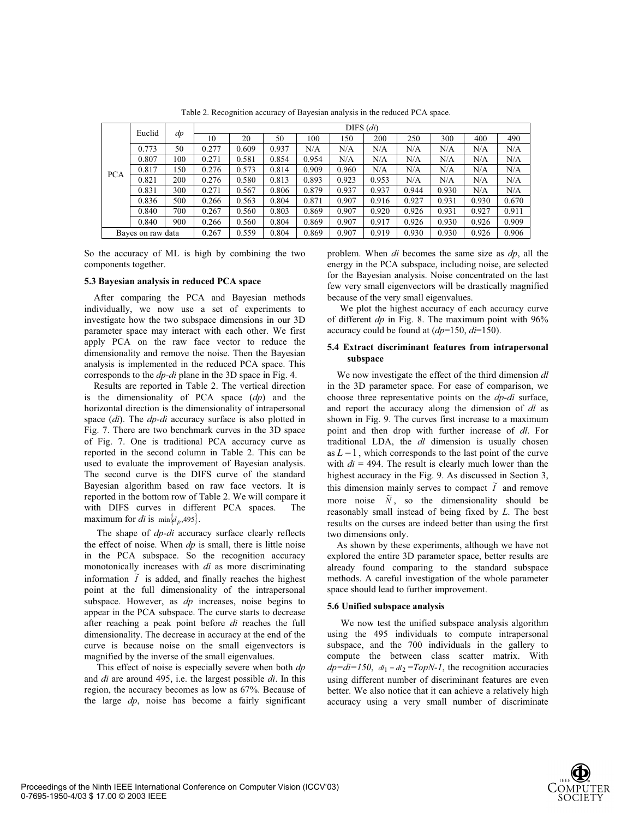|                   | Euclid | dp    | $DIFS$ $(di)$ |       |       |       |       |       |       |       |       |       |
|-------------------|--------|-------|---------------|-------|-------|-------|-------|-------|-------|-------|-------|-------|
|                   |        |       | 10            | 20    | 50    | 100   | 150   | 200   | 250   | 300   | 400   | 490   |
| <b>PCA</b>        | 0.773  | 50    | 0.277         | 0.609 | 0.937 | N/A   | N/A   | N/A   | N/A   | N/A   | N/A   | N/A   |
|                   | 0.807  | 100   | 0.271         | 0.581 | 0.854 | 0.954 | N/A   | N/A   | N/A   | N/A   | N/A   | N/A   |
|                   | 0.817  | 150   | 0.276         | 0.573 | 0.814 | 0.909 | 0.960 | N/A   | N/A   | N/A   | N/A   | N/A   |
|                   | 0.821  | 200   | 0.276         | 0.580 | 0.813 | 0.893 | 0.923 | 0.953 | N/A   | N/A   | N/A   | N/A   |
|                   | 0.831  | 300   | 0.271         | 0.567 | 0.806 | 0.879 | 0.937 | 0.937 | 0.944 | 0.930 | N/A   | N/A   |
|                   | 0.836  | 500   | 0.266         | 0.563 | 0.804 | 0.871 | 0.907 | 0.916 | 0.927 | 0.931 | 0.930 | 0.670 |
|                   | 0.840  | 700   | 0.267         | 0.560 | 0.803 | 0.869 | 0.907 | 0.920 | 0.926 | 0.931 | 0.927 | 0.911 |
|                   | 0.840  | 900   | 0.266         | 0.560 | 0.804 | 0.869 | 0.907 | 0.917 | 0.926 | 0.930 | 0.926 | 0.909 |
| Bayes on raw data |        | 0.267 | 0.559         | 0.804 | 0.869 | 0.907 | 0.919 | 0.930 | 0.930 | 0.926 | 0.906 |       |

Table 2. Recognition accuracy of Bayesian analysis in the reduced PCA space.

So the accuracy of ML is high by combining the two components together.

## **5.3 Bayesian analysis in reduced PCA space**

After comparing the PCA and Bayesian methods individually, we now use a set of experiments to investigate how the two subspace dimensions in our 3D parameter space may interact with each other. We first apply PCA on the raw face vector to reduce the dimensionality and remove the noise. Then the Bayesian analysis is implemented in the reduced PCA space. This corresponds to the *dp-di* plane in the 3D space in Fig. 4.

Results are reported in Table 2. The vertical direction is the dimensionality of PCA space (*dp*) and the horizontal direction is the dimensionality of intrapersonal space (*di*). The *dp-di* accuracy surface is also plotted in Fig. 7. There are two benchmark curves in the 3D space of Fig. 7. One is traditional PCA accuracy curve as reported in the second column in Table 2. This can be used to evaluate the improvement of Bayesian analysis. The second curve is the DIFS curve of the standard Bayesian algorithm based on raw face vectors. It is reported in the bottom row of Table 2. We will compare it with DIFS curves in different PCA spaces. The maximum for *di* is  $\min \{d_p, 495\}.$ 

The shape of *dp-di* accuracy surface clearly reflects the effect of noise. When *dp* is small, there is little noise in the PCA subspace. So the recognition accuracy monotonically increases with *di* as more discriminating information  $\tilde{I}$  is added, and finally reaches the highest point at the full dimensionality of the intrapersonal subspace. However, as *dp* increases, noise begins to appear in the PCA subspace. The curve starts to decrease after reaching a peak point before *di* reaches the full dimensionality. The decrease in accuracy at the end of the curve is because noise on the small eigenvectors is magnified by the inverse of the small eigenvalues.

This effect of noise is especially severe when both *dp* and *di* are around 495, i.e. the largest possible *di*. In this region, the accuracy becomes as low as 67%. Because of the large *dp*, noise has become a fairly significant problem. When *di* becomes the same size as *dp*, all the energy in the PCA subspace, including noise, are selected for the Bayesian analysis. Noise concentrated on the last few very small eigenvectors will be drastically magnified because of the very small eigenvalues.

We plot the highest accuracy of each accuracy curve of different *dp* in Fig. 8. The maximum point with 96% accuracy could be found at (*dp*=150, *di*=150).

### **5.4 Extract discriminant features from intrapersonal subspace**

We now investigate the effect of the third dimension *dl* in the 3D parameter space. For ease of comparison, we choose three representative points on the *dp-di* surface, and report the accuracy along the dimension of *dl* as shown in Fig. 9. The curves first increase to a maximum point and then drop with further increase of *dl*. For traditional LDA, the *dl* dimension is usually chosen as  $L-1$ , which corresponds to the last point of the curve with  $di = 494$ . The result is clearly much lower than the highest accuracy in the Fig. 9. As discussed in Section 3, this dimension mainly serves to compact  $\tilde{I}$  and remove more noise  $\tilde{N}$ , so the dimensionality should be reasonably small instead of being fixed by *L*. The best results on the curses are indeed better than using the first two dimensions only.

As shown by these experiments, although we have not explored the entire 3D parameter space, better results are already found comparing to the standard subspace methods. A careful investigation of the whole parameter space should lead to further improvement.

#### **5.6 Unified subspace analysis**

We now test the unified subspace analysis algorithm using the 495 individuals to compute intrapersonal subspace, and the 700 individuals in the gallery to compute the between class scatter matrix. With  $dp = di = 150$ ,  $dl_1 = dl_2 = TopN-1$ , the recognition accuracies using different number of discriminant features are even better. We also notice that it can achieve a relatively high accuracy using a very small number of discriminate